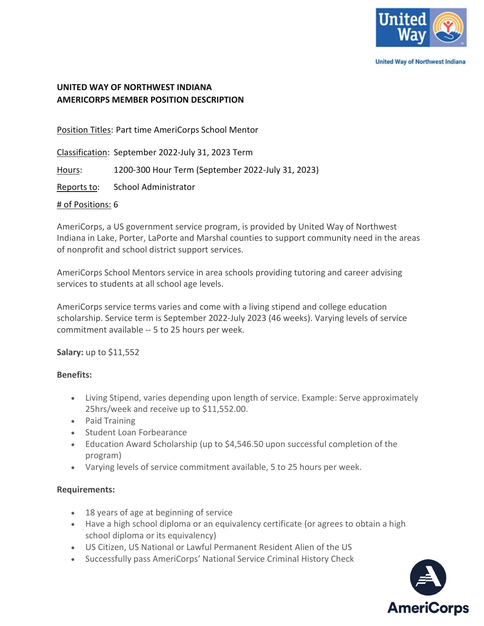

**United Way of Northwest Indiana** 

# **UNITED WAY OF NORTHWEST INDIANA AMERICORPS MEMBER POSITION DESCRIPTION**

Position Titles: Part time AmeriCorps School Mentor

Classification: September 2022-July 31, 2023 Term

Hours: 1200-300 Hour Term (September 2022-July 31, 2023)

Reports to: School Administrator

### # of Positions: 6

AmeriCorps, a US government service program, is provided by United Way of Northwest Indiana in Lake, Porter, LaPorte and Marshal counties to support community need in the areas of nonprofit and school district support services.

AmeriCorps School Mentors service in area schools providing tutoring and career advising services to students at all school age levels.

AmeriCorps service terms varies and come with a living stipend and college education scholarship. Service term is September 2022-July 2023 (46 weeks). Varying levels of service commitment available -- 5 to 25 hours per week.

**Salary:** up to \$11,552

## **Benefits:**

- Living Stipend, varies depending upon length of service. Example: Serve approximately 25hrs/week and receive up to \$11,552.00.
- Paid Training
- Student Loan Forbearance
- Education Award Scholarship (up to \$4,546.50 upon successful completion of the program)
- Varying levels of service commitment available, 5 to 25 hours per week.

## **Requirements:**

- 18 years of age at beginning of service
- Have a high school diploma or an equivalency certificate (or agrees to obtain a high school diploma or its equivalency)
- US Citizen, US National or Lawful Permanent Resident Alien of the US
- Successfully pass AmeriCorps' National Service Criminal History Check